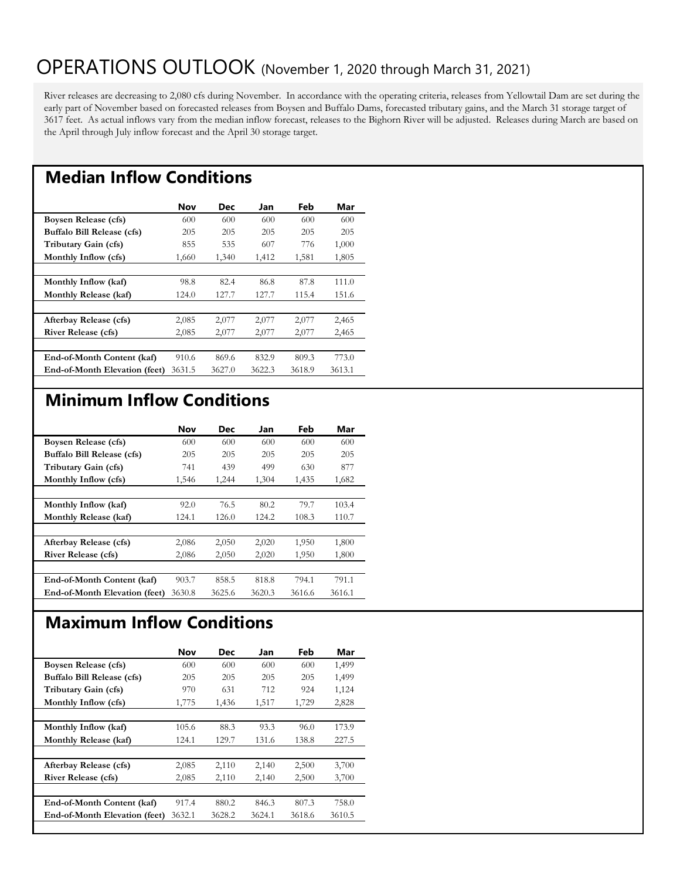## OPERATIONS OUTLOOK (November 1, 2020 through March 31, 2021)

River releases are decreasing to 2,080 cfs during November. In accordance with the operating criteria, releases from Yellowtail Dam are set during the early part of November based on forecasted releases from Boysen and Buffalo Dams, forecasted tributary gains, and the March 31 storage target of 3617 feet. As actual inflows vary from the median inflow forecast, releases to the Bighorn River will be adjusted. Releases during March are based on the April through July inflow forecast and the April 30 storage target.

### **Median Inflow Conditions**

|                                      | <b>Nov</b> | Dec    | Jan    | Feb    | Mar    |
|--------------------------------------|------------|--------|--------|--------|--------|
| Boysen Release (cfs)                 | 600        | 600    | 600    | 600    | 600    |
| Buffalo Bill Release (cfs)           | 205        | 205    | 205    | 205    | 205    |
| Tributary Gain (cfs)                 | 855        | 535    | 607    | 776    | 1,000  |
| Monthly Inflow (cfs)                 | 1,660      | 1,340  | 1,412  | 1,581  | 1,805  |
|                                      |            |        |        |        |        |
| Monthly Inflow (kaf)                 | 98.8       | 82.4   | 86.8   | 87.8   | 111.0  |
| Monthly Release (kaf)                | 124.0      | 127.7  | 127.7  | 115.4  | 151.6  |
|                                      |            |        |        |        |        |
| Afterbay Release (cfs)               | 2,085      | 2,077  | 2,077  | 2,077  | 2,465  |
| <b>River Release (cfs)</b>           | 2,085      | 2,077  | 2,077  | 2,077  | 2,465  |
|                                      |            |        |        |        |        |
| End-of-Month Content (kaf)           | 910.6      | 869.6  | 832.9  | 809.3  | 773.0  |
| <b>End-of-Month Elevation (feet)</b> | 3631.5     | 3627.0 | 3622.3 | 3618.9 | 3613.1 |

#### **Minimum Inflow Conditions**

|                                      | <b>Nov</b> | Dec    | Jan    | Feb    | Mar    |
|--------------------------------------|------------|--------|--------|--------|--------|
| Boysen Release (cfs)                 | 600        | 600    | 600    | 600    | 600    |
| Buffalo Bill Release (cfs)           | 205        | 205    | 205    | 205    | 205    |
| Tributary Gain (cfs)                 | 741        | 439    | 499    | 630    | 877    |
| Monthly Inflow (cfs)                 | 1,546      | 1,244  | 1,304  | 1,435  | 1,682  |
|                                      |            |        |        |        |        |
| Monthly Inflow (kaf)                 | 92.0       | 76.5   | 80.2   | 79.7   | 103.4  |
| Monthly Release (kaf)                | 124.1      | 126.0  | 124.2  | 108.3  | 110.7  |
|                                      |            |        |        |        |        |
| Afterbay Release (cfs)               | 2,086      | 2,050  | 2,020  | 1,950  | 1,800  |
| <b>River Release (cfs)</b>           | 2,086      | 2,050  | 2,020  | 1,950  | 1,800  |
|                                      |            |        |        |        |        |
| End-of-Month Content (kaf)           | 903.7      | 858.5  | 818.8  | 794.1  | 791.1  |
| <b>End-of-Month Elevation (feet)</b> | 3630.8     | 3625.6 | 3620.3 | 3616.6 | 3616.1 |

### **Maximum Inflow Conditions**

|                                      | Nov    | <b>Dec</b> | Jan    | Feb    | Mar    |
|--------------------------------------|--------|------------|--------|--------|--------|
| <b>Boysen Release (cfs)</b>          | 600    | 600        | 600    | 600    | 1,499  |
| Buffalo Bill Release (cfs)           | 205    | 205        | 205    | 205    | 1,499  |
| Tributary Gain (cfs)                 | 970    | 631        | 712    | 924    | 1,124  |
| Monthly Inflow (cfs)                 | 1,775  | 1,436      | 1,517  | 1,729  | 2,828  |
|                                      |        |            |        |        |        |
| Monthly Inflow (kaf)                 | 105.6  | 88.3       | 93.3   | 96.0   | 173.9  |
| Monthly Release (kaf)                | 124.1  | 129.7      | 131.6  | 138.8  | 227.5  |
|                                      |        |            |        |        |        |
| Afterbay Release (cfs)               | 2,085  | 2,110      | 2,140  | 2,500  | 3,700  |
| <b>River Release (cfs)</b>           | 2,085  | 2,110      | 2,140  | 2,500  | 3,700  |
|                                      |        |            |        |        |        |
| End-of-Month Content (kaf)           | 917.4  | 880.2      | 846.3  | 807.3  | 758.0  |
| <b>End-of-Month Elevation (feet)</b> | 3632.1 | 3628.2     | 3624.1 | 3618.6 | 3610.5 |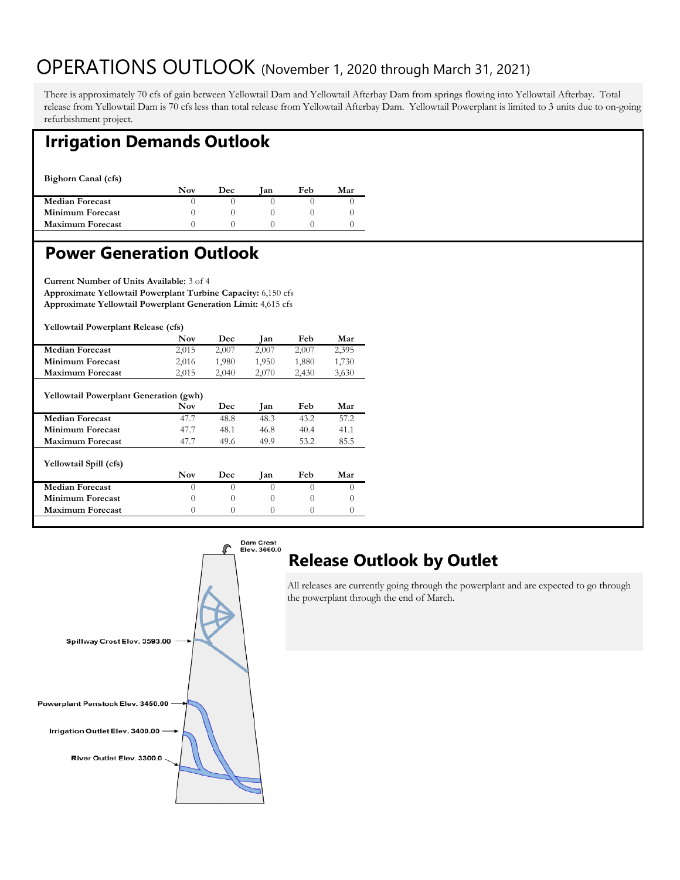## OPERATIONS OUTLOOK (November 1, 2020 through March 31, 2021)

There is approximately 70 cfs of gain between Yellowtail Dam and Yellowtail Afterbay Dam from springs flowing into Yellowtail Afterbay. Total release from Yellowtail Dam is 70 cfs less than total release from Yellowtail Afterbay Dam. Yellowtail Powerplant is limited to 3 units due to on-going refurbishment project.

#### **Irrigation Demands Outlook**

**Bighorn Canal (cfs)** 

|                         | Nov | Dec | lan | Feb | Mar |
|-------------------------|-----|-----|-----|-----|-----|
| <b>Median Forecast</b>  |     |     |     |     |     |
| <b>Minimum Forecast</b> |     |     |     |     |     |
| <b>Maximum Forecast</b> |     |     |     |     |     |
|                         |     |     |     |     |     |

#### **Power Generation Outlook**

**Current Number of Units Available:** 3 of 4 **Approximate Yellowtail Powerplant Turbine Capacity:** 6,150 cfs **Approximate Yellowtail Powerplant Generation Limit:** 4,615 cfs

**Yellowtail Powerplant Release (cfs)** 

|                                               | <b>Nov</b> | Dec      | Jan      | Feb      | Mar      |  |  |
|-----------------------------------------------|------------|----------|----------|----------|----------|--|--|
| <b>Median Forecast</b>                        | 2,015      | 2,007    | 2,007    | 2,007    | 2,395    |  |  |
| Minimum Forecast                              | 2,016      | 1,980    | 1,950    | 1,880    | 1,730    |  |  |
| Maximum Forecast                              | 2,015      | 2,040    | 2,070    | 2,430    | 3,630    |  |  |
| <b>Yellowtail Powerplant Generation (gwh)</b> |            |          |          |          |          |  |  |
|                                               | <b>Nov</b> | Dec      | Jan      | Feb      | Mar      |  |  |
| <b>Median Forecast</b>                        | 47.7       | 48.8     | 48.3     | 43.2     | 57.2     |  |  |
| Minimum Forecast                              | 47.7       | 48.1     | 46.8     | 40.4     | 41.1     |  |  |
| <b>Maximum Forecast</b>                       | 47.7       | 49.6     | 49.9     | 53.2     | 85.5     |  |  |
| Yellowtail Spill (cfs)                        |            |          |          |          |          |  |  |
|                                               | <b>Nov</b> | Dec      | Jan      | Feb      | Mar      |  |  |
| <b>Median Forecast</b>                        | $\Omega$   | $\Omega$ | $\Omega$ | $\Omega$ | $\Omega$ |  |  |
| Minimum Forecast                              | $\Omega$   | $\Omega$ | $\Omega$ | $\Omega$ | 0        |  |  |
| <b>Maximum Forecast</b>                       | $\theta$   | $\Omega$ | 0        | $\Omega$ | $\theta$ |  |  |



# **Release Outlook by Outlet**

All releases are currently going through the powerplant and are expected to go through the powerplant through the end of March.